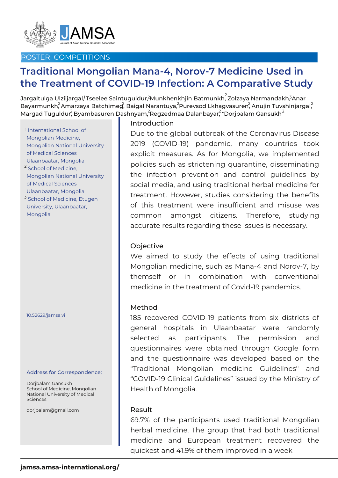

# POSTER COMPETITIONS

# **Traditional Mongolian Mana-4, Norov-7 Medicine Used in the Treatment of COVID-19 Infection: A Comparative Study**

Jargaltulga Ulziijargal,<sup>1</sup>Tseelee Saintuguldur,<sup>2</sup>Munkhenkhjin Batmunkh, $^2$ Zolzaya Narmandakh, $^3$ Anar Bayarmunkh ${}^2$ Amarzaya Batchimeg ${}^2$ , Baigal Narantuya, ${}^2$ Purevsod Lkhagvasuren ${}^2$ Anujin Tuvshinjargal ${}^2$ Margad Tuguldur $\widetilde{'}$  Byambasuren Dashnyam, $^2$ Regzedmaa Dalanbayar $^{2}_\tau$ \*Dorjbalam Gansukh $^2$ 

International School of 1 Mongolian Medicine, Mongolian National University of Medical Sciences Ulaanbaatar, Mongolia <sup>2</sup> School of Medicine, Mongolian National University of Medical Sciences Ulaanbaatar, Mongolia <sup>3</sup> School of Medicine, Etugen University, Ulaanbaatar, Mongolia

10.52629/jamsa.vi

#### Address for Correspondence:

Dorjbalam Gansukh School of Medicine, Mongolian National University of Medical Sciences

dorjbalam@gmail.com

# Introduction

Due to the global outbreak of the Coronavirus Disease 2019 (COVID-19) pandemic, many countries took explicit measures. As for Mongolia, we implemented policies such as strictening quarantine, disseminating the infection prevention and control guidelines by social media, and using traditional herbal medicine for treatment. However, studies considering the benefits of this treatment were insufficient and misuse was common amongst citizens. Therefore, studying accurate results regarding these issues is necessary.

#### **Objective**

We aimed to study the effects of using traditional Mongolian medicine, such as Mana-4 and Norov-7, by themself or in combination with conventional medicine in the treatment of Covid-19 pandemics.

#### Method

185 recovered COVID-19 patients from six districts of general hospitals in Ulaanbaatar were randomly selected as participants. The permission and questionnaires were obtained through Google form and the questionnaire was developed based on the "Traditional Mongolian medicine Guidelines'' and "COVID-19 Clinical Guidelines" issued by the Ministry of Health of Mongolia.

#### Result

69.7% of the participants used traditional Mongolian herbal medicine. The group that had both traditional medicine and European treatment recovered the quickest and 41.9% of them improved in a week